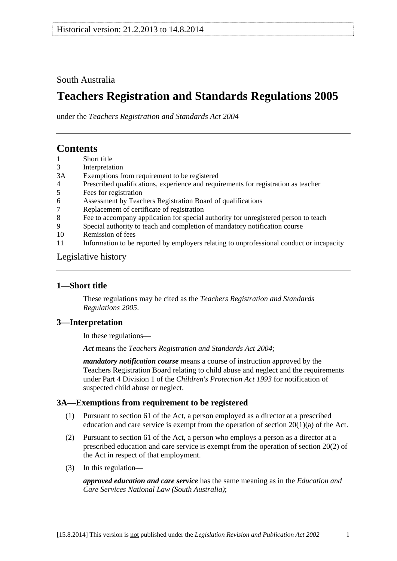### <span id="page-0-0"></span>South Australia

# **Teachers Registration and Standards Regulations 2005**

under the *Teachers Registration and Standards Act 2004*

# **Contents**

- [1 Short title](#page-0-0)
- [3 Interpretation](#page-0-0)
- [3A Exemptions from requirement to be registered](#page-0-0)
- [4 Prescribed qualifications, experience and requirements for registration as teacher](#page-1-0)
- [5 Fees for registration](#page-2-0)
- [6 Assessment by Teachers Registration Board of qualifications](#page-2-0)
- [7 Replacement of certificate of registration](#page-2-0)
- [8 Fee to accompany application for special authority for unregistered person to teach](#page-3-0)
- [9 Special authority to teach and completion of mandatory notification course](#page-3-0)
- [10 Remission of fees](#page-3-0)
- [11 Information to be reported by employers relating to unprofessional conduct or incapacity](#page-3-0)

#### [Legislative history](#page-4-0)

#### **1—Short title**

These regulations may be cited as the *Teachers Registration and Standards Regulations 2005*.

#### **3—Interpretation**

In these regulations—

*Act* means the *[Teachers Registration and Standards Act 2004](http://www.legislation.sa.gov.au/index.aspx?action=legref&type=act&legtitle=Teachers%20Registration%20and%20Standards%20Act%202004)*;

*mandatory notification course* means a course of instruction approved by the Teachers Registration Board relating to child abuse and neglect and the requirements under Part 4 Division 1 of the *[Children's Protection Act 1993](http://www.legislation.sa.gov.au/index.aspx?action=legref&type=act&legtitle=Childrens%20Protection%20Act%201993)* for notification of suspected child abuse or neglect.

#### **3A—Exemptions from requirement to be registered**

- (1) Pursuant to section 61 of the Act, a person employed as a director at a prescribed education and care service is exempt from the operation of section  $20(1)(a)$  of the Act.
- (2) Pursuant to section 61 of the Act, a person who employs a person as a director at a prescribed education and care service is exempt from the operation of section 20(2) of the Act in respect of that employment.
- (3) In this regulation—

*approved education and care service* has the same meaning as in the *[Education and](http://www.legislation.sa.gov.au/index.aspx?action=legref&type=act&legtitle=Education%20and%20Care%20Services%20National%20Law%20(South%20Australia))  [Care Services National Law \(South Australia\)](http://www.legislation.sa.gov.au/index.aspx?action=legref&type=act&legtitle=Education%20and%20Care%20Services%20National%20Law%20(South%20Australia))*;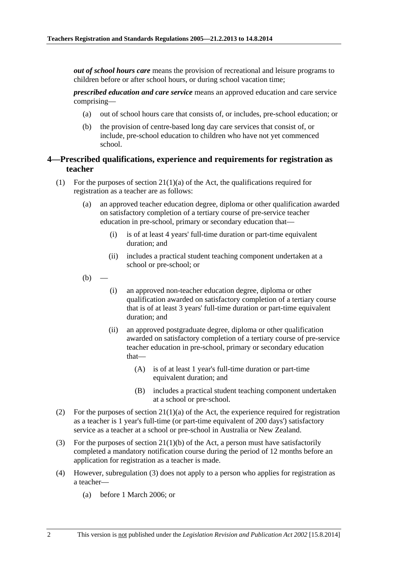<span id="page-1-0"></span>*out of school hours care* means the provision of recreational and leisure programs to children before or after school hours, or during school vacation time;

*prescribed education and care service* means an approved education and care service comprising—

- (a) out of school hours care that consists of, or includes, pre-school education; or
- (b) the provision of centre-based long day care services that consist of, or include, pre-school education to children who have not yet commenced school.

#### **4—Prescribed qualifications, experience and requirements for registration as teacher**

- (1) For the purposes of section  $21(1)(a)$  of the Act, the qualifications required for registration as a teacher are as follows:
	- (a) an approved teacher education degree, diploma or other qualification awarded on satisfactory completion of a tertiary course of pre-service teacher education in pre-school, primary or secondary education that—
		- (i) is of at least 4 years' full-time duration or part-time equivalent duration; and
		- (ii) includes a practical student teaching component undertaken at a school or pre-school; or
	- $(b)$
- (i) an approved non-teacher education degree, diploma or other qualification awarded on satisfactory completion of a tertiary course that is of at least 3 years' full-time duration or part-time equivalent duration; and
- (ii) an approved postgraduate degree, diploma or other qualification awarded on satisfactory completion of a tertiary course of pre-service teacher education in pre-school, primary or secondary education that—
	- (A) is of at least 1 year's full-time duration or part-time equivalent duration; and
	- (B) includes a practical student teaching component undertaken at a school or pre-school.
- (2) For the purposes of section  $21(1)(a)$  of the Act, the experience required for registration as a teacher is 1 year's full-time (or part-time equivalent of 200 days') satisfactory service as a teacher at a school or pre-school in Australia or New Zealand.
- (3) For the purposes of section 21(1)(b) of the Act, a person must have satisfactorily completed a mandatory notification course during the period of 12 months before an application for registration as a teacher is made.
- (4) However, [subregulation \(3\)](#page-1-0) does not apply to a person who applies for registration as a teacher—
	- (a) before 1 March 2006; or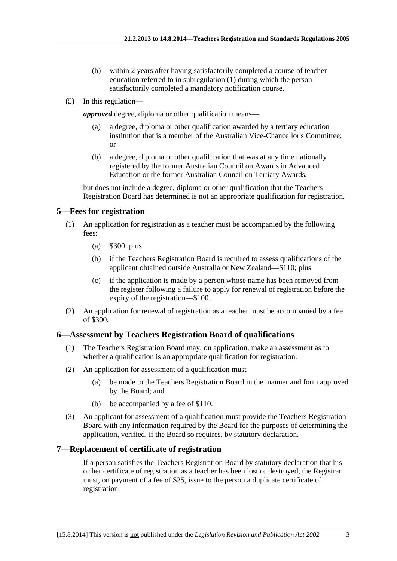- <span id="page-2-0"></span> (b) within 2 years after having satisfactorily completed a course of teacher education referred to in [subregulation \(1\)](#page-1-0) during which the person satisfactorily completed a mandatory notification course.
- (5) In this regulation—

*approved* degree, diploma or other qualification means—

- a degree, diploma or other qualification awarded by a tertiary education institution that is a member of the Australian Vice-Chancellor's Committee; or
- (b) a degree, diploma or other qualification that was at any time nationally registered by the former Australian Council on Awards in Advanced Education or the former Australian Council on Tertiary Awards,

but does not include a degree, diploma or other qualification that the Teachers Registration Board has determined is not an appropriate qualification for registration.

### **5—Fees for registration**

- (1) An application for registration as a teacher must be accompanied by the following fees:
	- (a) \$300; plus
	- (b) if the Teachers Registration Board is required to assess qualifications of the applicant obtained outside Australia or New Zealand—\$110; plus
	- (c) if the application is made by a person whose name has been removed from the register following a failure to apply for renewal of registration before the expiry of the registration—\$100.
- (2) An application for renewal of registration as a teacher must be accompanied by a fee of \$300.

## **6—Assessment by Teachers Registration Board of qualifications**

- (1) The Teachers Registration Board may, on application, make an assessment as to whether a qualification is an appropriate qualification for registration.
- (2) An application for assessment of a qualification must—
	- (a) be made to the Teachers Registration Board in the manner and form approved by the Board; and
	- (b) be accompanied by a fee of \$110.
- (3) An applicant for assessment of a qualification must provide the Teachers Registration Board with any information required by the Board for the purposes of determining the application, verified, if the Board so requires, by statutory declaration.

## **7—Replacement of certificate of registration**

If a person satisfies the Teachers Registration Board by statutory declaration that his or her certificate of registration as a teacher has been lost or destroyed, the Registrar must, on payment of a fee of \$25, issue to the person a duplicate certificate of registration.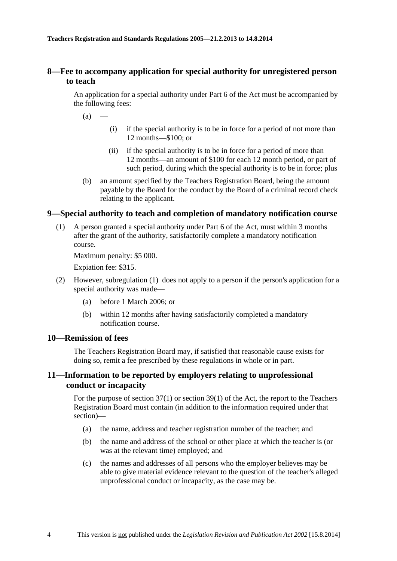#### <span id="page-3-0"></span>**8—Fee to accompany application for special authority for unregistered person to teach**

An application for a special authority under Part 6 of the Act must be accompanied by the following fees:

 $(a)$ 

- (i) if the special authority is to be in force for a period of not more than 12 months—\$100; or
- (ii) if the special authority is to be in force for a period of more than 12 months—an amount of \$100 for each 12 month period, or part of such period, during which the special authority is to be in force; plus
- (b) an amount specified by the Teachers Registration Board, being the amount payable by the Board for the conduct by the Board of a criminal record check relating to the applicant.

#### **9—Special authority to teach and completion of mandatory notification course**

 (1) A person granted a special authority under Part 6 of the Act, must within 3 months after the grant of the authority, satisfactorily complete a mandatory notification course.

Maximum penalty: \$5 000.

Expiation fee: \$315.

- (2) However, [subregulation \(1\)](#page-3-0) does not apply to a person if the person's application for a special authority was made—
	- (a) before 1 March 2006; or
	- (b) within 12 months after having satisfactorily completed a mandatory notification course.

#### **10—Remission of fees**

The Teachers Registration Board may, if satisfied that reasonable cause exists for doing so, remit a fee prescribed by these regulations in whole or in part.

#### **11—Information to be reported by employers relating to unprofessional conduct or incapacity**

For the purpose of section 37(1) or section 39(1) of the Act, the report to the Teachers Registration Board must contain (in addition to the information required under that section)—

- (a) the name, address and teacher registration number of the teacher; and
- (b) the name and address of the school or other place at which the teacher is (or was at the relevant time) employed; and
- (c) the names and addresses of all persons who the employer believes may be able to give material evidence relevant to the question of the teacher's alleged unprofessional conduct or incapacity, as the case may be.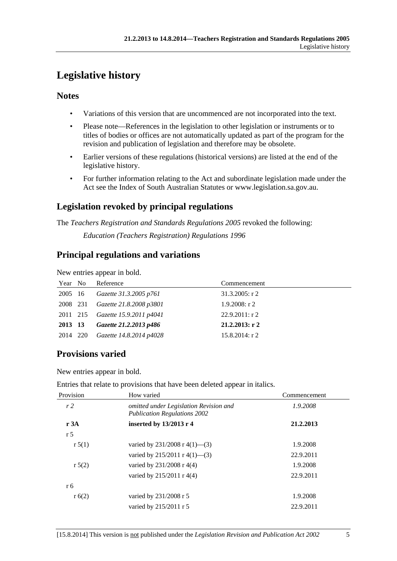# <span id="page-4-0"></span>**Legislative history**

## **Notes**

- Variations of this version that are uncommenced are not incorporated into the text.
- Please note—References in the legislation to other legislation or instruments or to titles of bodies or offices are not automatically updated as part of the program for the revision and publication of legislation and therefore may be obsolete.
- Earlier versions of these regulations (historical versions) are listed at the end of the legislative history.
- For further information relating to the Act and subordinate legislation made under the Act see the Index of South Australian Statutes or www.legislation.sa.gov.au.

# **Legislation revoked by principal regulations**

The *Teachers Registration and Standards Regulations 2005* revoked the following: *Education (Teachers Registration) Regulations 1996*

## **Principal regulations and variations**

New entries appear in bold.

| Year No  | Reference                        | Commencement      |
|----------|----------------------------------|-------------------|
| 2005 16  | Gazette 31.3.2005 p761           | $31.3.2005:$ r 2  |
| 2008 231 | Gazette 21.8.2008 p3801          | $1.9.2008:$ r 2   |
|          | 2011 215 Gazette 15.9.2011 p4041 | $22.9.2011:$ r 2  |
| 2013 13  | Gazette 21.2.2013 p486           | $21.2.2013$ : r 2 |
| 2014 220 | Gazette 14.8.2014 p4028          | $15.8.2014$ : r 2 |

## **Provisions varied**

New entries appear in bold.

| Entries that relate to provisions that have been deleted appear in italics. |  |
|-----------------------------------------------------------------------------|--|
|-----------------------------------------------------------------------------|--|

| Provision      | How varied                                                                    | Commencement |
|----------------|-------------------------------------------------------------------------------|--------------|
| r <sub>2</sub> | omitted under Legislation Revision and<br><b>Publication Regulations 2002</b> | 1.9.2008     |
| r 3A           | inserted by 13/2013 r 4                                                       | 21.2.2013    |
| r <sub>5</sub> |                                                                               |              |
| r 5(1)         | varied by $231/2008$ r 4(1)–(3)                                               | 1.9.2008     |
|                | varied by $215/2011$ r $4(1)$ —(3)                                            | 22.9.2011    |
| r 5(2)         | varied by 231/2008 r 4(4)                                                     | 1.9.2008     |
|                | varied by $215/2011$ r 4(4)                                                   | 22.9.2011    |
| r 6            |                                                                               |              |
| r(6(2))        | varied by 231/2008 r 5                                                        | 1.9.2008     |
|                | varied by 215/2011 r 5                                                        | 22.9.2011    |
|                |                                                                               |              |